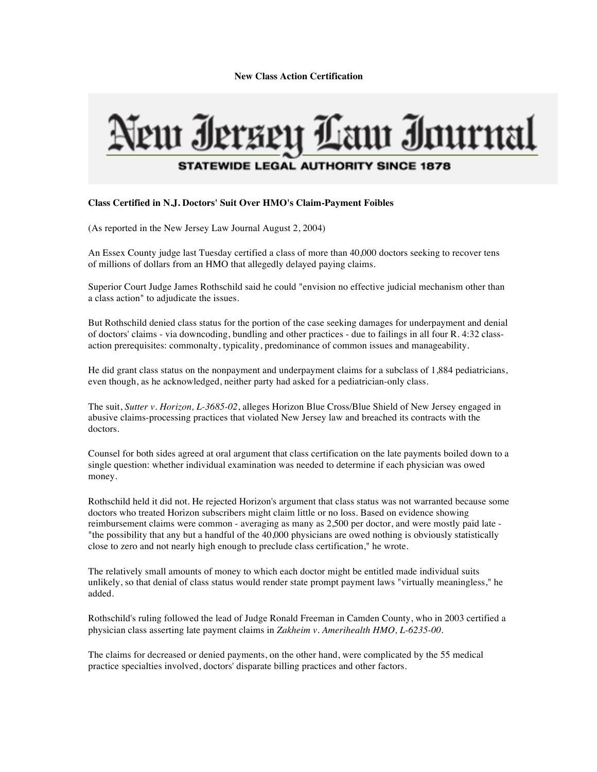**New Class Action Certification**

## eur Ierzeu Law Iournal **STATEWIDE LEGAL AUTHORITY SINCE 1878**

## **Class Certified in N.J. Doctors' Suit Over HMO's Claim-Payment Foibles**

(As reported in the New Jersey Law Journal August 2, 2004)

An Essex County judge last Tuesday certified a class of more than 40,000 doctors seeking to recover tens of millions of dollars from an HMO that allegedly delayed paying claims.

Superior Court Judge James Rothschild said he could "envision no effective judicial mechanism other than a class action" to adjudicate the issues.

But Rothschild denied class status for the portion of the case seeking damages for underpayment and denial of doctors' claims - via downcoding, bundling and other practices - due to failings in all four R. 4:32 classaction prerequisites: commonalty, typicality, predominance of common issues and manageability.

He did grant class status on the nonpayment and underpayment claims for a subclass of 1,884 pediatricians, even though, as he acknowledged, neither party had asked for a pediatrician-only class.

The suit, *Sutter v. Horizon, L-3685-02*, alleges Horizon Blue Cross/Blue Shield of New Jersey engaged in abusive claims-processing practices that violated New Jersey law and breached its contracts with the doctors.

Counsel for both sides agreed at oral argument that class certification on the late payments boiled down to a single question: whether individual examination was needed to determine if each physician was owed money.

Rothschild held it did not. He rejected Horizon's argument that class status was not warranted because some doctors who treated Horizon subscribers might claim little or no loss. Based on evidence showing reimbursement claims were common - averaging as many as 2,500 per doctor, and were mostly paid late - "the possibility that any but a handful of the 40,000 physicians are owed nothing is obviously statistically close to zero and not nearly high enough to preclude class certification," he wrote.

The relatively small amounts of money to which each doctor might be entitled made individual suits unlikely, so that denial of class status would render state prompt payment laws "virtually meaningless," he added.

Rothschild's ruling followed the lead of Judge Ronald Freeman in Camden County, who in 2003 certified a physician class asserting late payment claims in *Zakheim v. Amerihealth HMO, L-6235-00.* 

The claims for decreased or denied payments, on the other hand, were complicated by the 55 medical practice specialties involved, doctors' disparate billing practices and other factors.